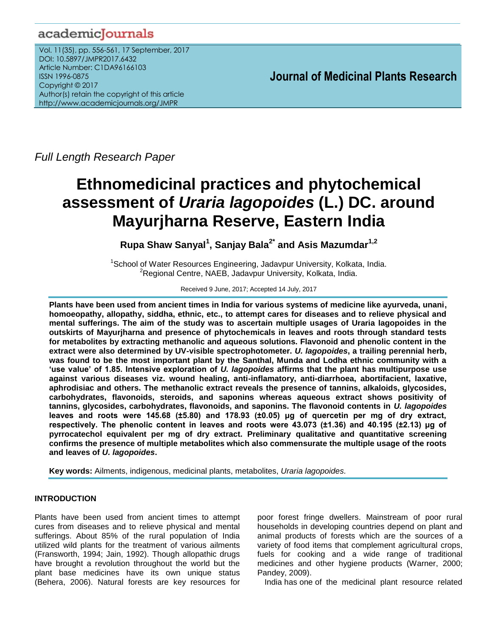# academicJournals

Vol. 11(35), pp. 556-561, 17 September, 2017 DOI: 10.5897/JMPR2017.6432 Article Number: C1DA96166103 ISSN 1996-0875 Copyright © 2017 Author(s) retain the copyright of this article http://www.academicjournals.org/JMPR

 **Journal of Medicinal Plants Research**

*Full Length Research Paper*

# **Ethnomedicinal practices and phytochemical assessment of** *Uraria lagopoides* **(L.) DC. around Mayurjharna Reserve, Eastern India**

**Rupa Shaw Sanyal<sup>1</sup> , Sanjay Bala2\* and Asis Mazumdar1,2**

<sup>1</sup>School of Water Resources Engineering, Jadavpur University, Kolkata, India. <sup>2</sup>Regional Centre, NAEB, Jadavpur University, Kolkata, India.

### Received 9 June, 2017; Accepted 14 July, 2017

**Plants have been used from ancient times in India for various systems of medicine like ayurveda, unani, homoeopathy, allopathy, siddha, ethnic, etc., to attempt cares for diseases and to relieve physical and mental sufferings. The aim of the study was to ascertain multiple usages of Uraria lagopoides in the outskirts of Mayurjharna and presence of phytochemicals in leaves and roots through standard tests for metabolites by extracting methanolic and aqueous solutions. Flavonoid and phenolic content in the extract were also determined by UV-visible spectrophotometer.** *U. lagopoides***, a trailing perennial herb, was found to be the most important plant by the Santhal, Munda and Lodha ethnic community with a 'use value' of 1.85. Intensive exploration of** *U. lagopoides* **affirms that the plant has multipurpose use against various diseases viz. wound healing, anti-inflamatory, anti-diarrhoea, abortifacient, laxative, aphrodisiac and others. The methanolic extract reveals the presence of tannins, alkaloids, glycosides, carbohydrates, flavonoids, steroids, and saponins whereas aqueous extract shows positivity of tannins, glycosides, carbohydrates, flavonoids, and saponins. The flavonoid contents in** *U. lagopoides* **leaves and roots were 145.68 (±5.80) and 178.93 (±0.05) μg of quercetin per mg of dry extract, respectively. The phenolic content in leaves and roots were 43.073 (±1.36) and 40.195 (±2.13) μg of pyrrocatechol equivalent per mg of dry extract. Preliminary qualitative and quantitative screening confirms the presence of multiple metabolites which also commensurate the multiple usage of the roots and leaves of** *U. lagopoides***.**

**Key words:** Ailments, indigenous, medicinal plants, metabolites, *Uraria lagopoides.*

# **INTRODUCTION**

Plants have been used from ancient times to attempt cures from diseases and to relieve physical and mental sufferings. About 85% of the rural population of India utilized wild plants for the treatment of various ailments (Fransworth, 1994; Jain, 1992). Though allopathic drugs have brought a revolution throughout the world but the plant base medicines have its own unique status (Behera, 2006). Natural forests are key resources for

poor forest fringe dwellers. Mainstream of poor rural households in developing countries depend on plant and animal products of forests which are the sources of a variety of food items that complement agricultural crops, fuels for cooking and a wide range of traditional medicines and other hygiene products (Warner, 2000; Pandey, 2009).

India has one of the medicinal plant resource related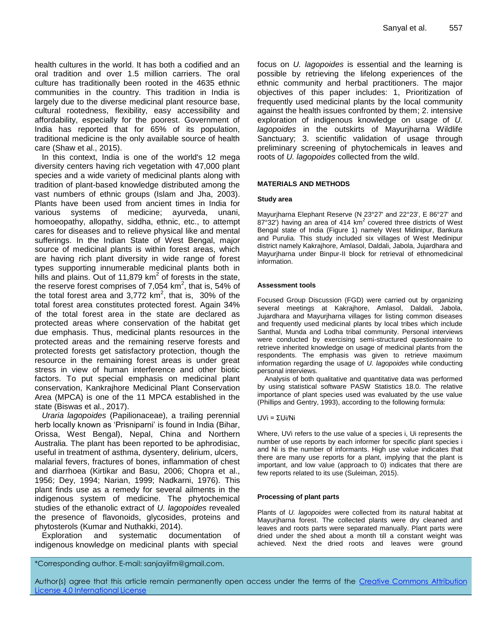health cultures in the world. It has both a codified and an oral tradition and over 1.5 million carriers. The oral culture has traditionally been rooted in the 4635 ethnic communities in the country. This tradition in India is largely due to the diverse medicinal plant resource base, cultural rootedness, flexibility, easy accessibility and affordability, especially for the poorest. Government of India has reported that for 65% of its population, traditional medicine is the only available source of health care (Shaw et al., 2015).

In this context, India is one of the world's 12 mega diversity centers having rich vegetation with 47,000 plant species and a wide variety of medicinal plants along with tradition of plant-based knowledge distributed among the vast numbers of ethnic groups (Islam and Jha, 2003). Plants have been used from ancient times in India for various systems of medicine; ayurveda, unani, homoeopathy, allopathy, siddha, ethnic, etc., to attempt cares for diseases and to relieve physical like and mental sufferings. In the Indian State of West Bengal, major source of medicinal plants is within forest areas, which are having rich plant diversity in wide range of forest types supporting innumerable medicinal plants both in hills and plains. Out of 11,879  $km^2$  of forests in the state, the reserve forest comprises of 7,054  $km^2$ , that is, 54% of the total forest area and 3,772  $km^2$ , that is, 30% of the total forest area constitutes protected forest. Again 34% of the total forest area in the state are declared as protected areas where conservation of the habitat get due emphasis. Thus, medicinal plants resources in the protected areas and the remaining reserve forests and protected forests get satisfactory protection, though the resource in the remaining forest areas is under great stress in view of human interference and other biotic factors. To put special emphasis on medicinal plant conservation, Kankrajhore Medicinal Plant Conservation Area (MPCA) is one of the 11 MPCA established in the state (Biswas et al., 2017).

*Uraria lagopoides* (Papilionaceae), a trailing perennial herb locally known as 'Prisniparni' is found in India (Bihar, Orissa, West Bengal), Nepal, China and Northern Australia. The plant has been reported to be aphrodisiac, useful in treatment of asthma, dysentery, delirium, ulcers, malarial fevers, fractures of bones, inflammation of chest and diarrhoea (Kirtikar and Basu, 2006; Chopra et al., 1956; Dey, 1994; Narian, 1999; Nadkarni, 1976). This plant finds use as a remedy for several ailments in the indigenous system of medicine. The phytochemical studies of the ethanolic extract of *U. lagopoides* revealed the presence of flavonoids, glycosides, proteins and phytosterols (Kumar and Nuthakki, 2014).

Exploration and systematic documentation of indigenous knowledge on medicinal plants with special

focus on *U. lagopoides* is essential and the learning is possible by retrieving the lifelong experiences of the ethnic community and herbal practitioners. The major objectives of this paper includes: 1, Prioritization of frequently used medicinal plants by the local community against the health issues confronted by them; 2. intensive exploration of indigenous knowledge on usage of *U. lagopoides* in the outskirts of Mayurjharna Wildlife Sanctuary; 3. scientific validation of usage through preliminary screening of phytochemicals in leaves and roots of *U. lagopoides* collected from the wild.

#### **MATERIALS AND METHODS**

#### **Study area**

Mayurjharna Elephant Reserve (N 23°27' and 22°23', E 86°27' and  $87^{\circ}32'$ ) having an area of 414 km<sup>2</sup> covered three districts of West Bengal state of India (Figure 1) namely West Midinipur, Bankura and Purulia. This study included six villages of West Medinipur district namely Kakrajhore, Amlasol, Daldali, Jabola, Jujardhara and Mayurjharna under Binpur-II block for retrieval of ethnomedicinal information.

#### **Assessment tools**

Focused Group Discussion (FGD) were carried out by organizing several meetings at Kakrajhore, Amlasol, Daldali, Jabola, Jujardhara and Mayurjharna villages for listing common diseases and frequently used medicinal plants by local tribes which include Santhal, Munda and Lodha tribal community. Personal interviews were conducted by exercising semi-structured questionnaire to retrieve inherited knowledge on usage of medicinal plants from the respondents. The emphasis was given to retrieve maximum information regarding the usage of *U. lagopoides* while conducting personal interviews.

Analysis of both qualitative and quantitative data was performed by using statistical software PASW Statistics 18.0. The relative importance of plant species used was evaluated by the use value (Phillips and Gentry, 1993), according to the following formula:

#### UVi = ΣUi/Ni

Where, UVi refers to the use value of a species i, Ui represents the number of use reports by each informer for specific plant species i and Ni is the number of informants. High use value indicates that there are many use reports for a plant, implying that the plant is important, and low value (approach to 0) indicates that there are few reports related to its use (Suleiman, 2015).

#### **Processing of plant parts**

Plants of *U. lagopoides* were collected from its natural habitat at Mayurjharna forest. The collected plants were dry cleaned and leaves and roots parts were separated manually. Plant parts were dried under the shed about a month till a constant weight was achieved. Next the dried roots and leaves were ground

\*Corresponding author. E-mail: sanjayiifm@gmail.com.

Author(s) agree that this article remain permanently open access under the terms of the Creative Commons Attribution License 4.0 [International](http://creativecommons.org/licenses/by/4.0/deed.en_US) License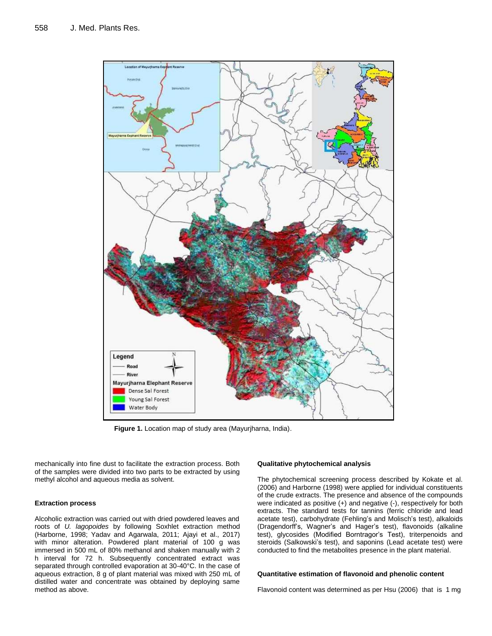

**Figure 1.** Location map of study area (Mayurjharna, India).

mechanically into fine dust to facilitate the extraction process. Both of the samples were divided into two parts to be extracted by using methyl alcohol and aqueous media as solvent.

#### **Extraction process**

Alcoholic extraction was carried out with dried powdered leaves and roots of *U. lagopoides* by following Soxhlet extraction method (Harborne, 1998; Yadav and Agarwala, 2011; Ajayi et al., 2017) with minor alteration. Powdered plant material of 100 g was immersed in 500 mL of 80% methanol and shaken manually with 2 h interval for 72 h. Subsequently concentrated extract was separated through controlled evaporation at 30-40°C. In the case of aqueous extraction, 8 g of plant material was mixed with 250 mL of distilled water and concentrate was obtained by deploying same method as above.

#### **Qualitative phytochemical analysis**

The phytochemical screening process described by Kokate et al. (2006) and Harborne (1998) were applied for individual constituents of the crude extracts. The presence and absence of the compounds were indicated as positive (+) and negative (-), respectively for both extracts. The standard tests for tannins (ferric chloride and lead acetate test), carbohydrate (Fehling's and Molisch's test), alkaloids (Dragendorff's, Wagner's and Hager's test), flavonoids (alkaline test), glycosides (Modified Borntragor's Test), triterpenoids and steroids (Salkowski's test), and saponins (Lead acetate test) were conducted to find the metabolites presence in the plant material.

#### **Quantitative estimation of flavonoid and phenolic content**

Flavonoid content was determined as per Hsu (2006) that is 1 mg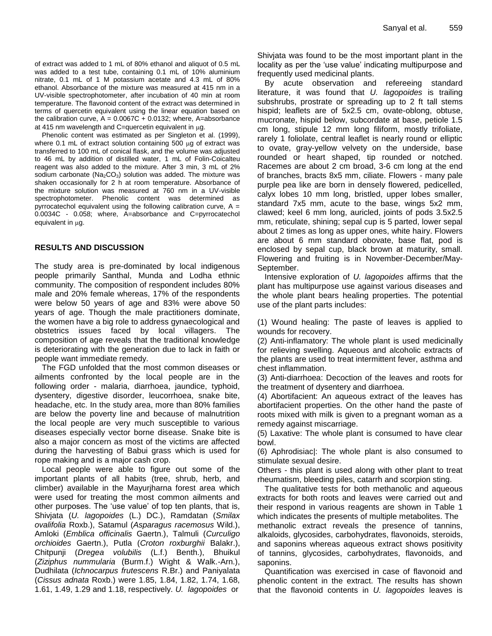of extract was added to 1 mL of 80% ethanol and aliquot of 0.5 mL was added to a test tube, containing 0.1 mL of 10% aluminium nitrate, 0.1 mL of 1 M potassium acetate and 4.3 mL of 80% ethanol. Absorbance of the mixture was measured at 415 nm in a UV-visible spectrophotometer, after incubation of 40 min at room temperature. The flavonoid content of the extract was determined in terms of quercetin equivalent using the linear equation based on the calibration curve,  $A = 0.0067C + 0.0132$ ; where, A=absorbance at 415 nm wavelength and C=quercetin equivalent in  $\mu$ g.

Phenolic content was estimated as per Singleton et al. (1999), where  $0.1$  mL of extract solution containing 500  $\mu$ g of extract was transferred to 100 mL of conical flask, and the volume was adjusted to 46 mL by addition of distilled water, 1 mL of Folin-Coicalteu reagent was also added to the mixture. After 3 min, 3 mL of 2% sodium carbonate ( $Na<sub>2</sub>CO<sub>3</sub>$ ) solution was added. The mixture was shaken occasionally for 2 h at room temperature. Absorbance of the mixture solution was measured at 760 nm in a UV-visible spectrophotometer. Phenolic content was determined as pyrrocatechol equivalent using the following calibration curve,  $A =$ 0.0034C - 0.058; where, A=absorbance and C=pyrrocatechol equivalent in uq.

# **RESULTS AND DISCUSSION**

The study area is pre-dominated by local indigenous people primarily Santhal, Munda and Lodha ethnic community. The composition of respondent includes 80% male and 20% female whereas, 17% of the respondents were below 50 years of age and 83% were above 50 years of age. Though the male practitioners dominate, the women have a big role to address gynaecological and obstetrics issues faced by local villagers. The composition of age reveals that the traditional knowledge is deteriorating with the generation due to lack in faith or people want immediate remedy.

The FGD unfolded that the most common diseases or ailments confronted by the local people are in the following order - malaria, diarrhoea, jaundice, typhoid, dysentery, digestive disorder, leucorrhoea, snake bite, headache, etc. In the study area, more than 80% families are below the poverty line and because of malnutrition the local people are very much susceptible to various diseases especially vector borne disease. Snake bite is also a major concern as most of the victims are affected during the harvesting of Babui grass which is used for rope making and is a major cash crop.

Local people were able to figure out some of the important plants of all habits (tree, shrub, herb, and climber) available in the Mayurjharna forest area which were used for treating the most common ailments and other purposes. The 'use value' of top ten plants, that is, Shivjata (*U. lagopoides* (L.) DC.), Ramdatan (*Smilax ovalifolia* Roxb.), Satamul (*Asparagus racemosus* Wild.), Amloki (*Emblica officinalis* Gaertn.), Talmuli (*Curculigo orchioides* Gaertn.), Putla (*Croton roxburghii* Balakr.), Chitpunji (*Dregea volubilis* (L.f.) Benth.), Bhuikul (*Ziziphus nummularia* (Burm.f.) Wight & Walk.-Arn.), Dudhilata (*Ichnocarpus frutescens* R.Br.) and Paniyalata (*Cissus adnata* Roxb.) were 1.85, 1.84, 1.82, 1.74, 1.68, 1.61, 1.49, 1.29 and 1.18, respectively. *U. lagopoides* or

Shivjata was found to be the most important plant in the locality as per the 'use value' indicating multipurpose and frequently used medicinal plants.

By acute observation and refereeing standard literature, it was found that *U. lagopoides* is trailing subshrubs, prostrate or spreading up to 2 ft tall stems hispid; leaflets are of 5x2.5 cm, ovate-oblong, obtuse, mucronate, hispid below, subcordate at base, petiole 1.5 cm long, stipule 12 mm long filiform, mostly trifoliate, rarely 1 foliolate, central leaflet is nearly round or elliptic to ovate, gray-yellow velvety on the underside, base rounded or heart shaped, tip rounded or notched. Racemes are about 2 cm broad, 3-6 cm long at the end of branches, bracts 8x5 mm, ciliate. Flowers - many pale purple pea like are born in densely flowered, pedicelled, calyx lobes 10 mm long, bristled, upper lobes smaller, standard 7x5 mm, acute to the base, wings 5x2 mm, clawed; keel 6 mm long, auricled, joints of pods 3.5x2.5 mm, reticulate, shining; sepal cup is 5 parted, lower sepal about 2 times as long as upper ones, white hairy. Flowers are about 6 mm standard obovate, base flat, pod is enclosed by sepal cup, black brown at maturity, small. Flowering and fruiting is in November-December/May-September.

Intensive exploration of *U. lagopoides* affirms that the plant has multipurpose use against various diseases and the whole plant bears healing properties. The potential use of the plant parts includes:

(1) Wound healing: The paste of leaves is applied to wounds for recovery.

(2) Anti-inflamatory: The whole plant is used medicinally for relieving swelling. Aqueous and alcoholic extracts of the plants are used to treat intermittent fever, asthma and chest inflammation.

(3) Anti-diarrhoea: Decoction of the leaves and roots for the treatment of dysentery and diarrhoea.

(4) Abortifacient: An aqueous extract of the leaves has abortifacient properties. On the other hand the paste of roots mixed with milk is given to a pregnant woman as a remedy against miscarriage.

(5) Laxative: The whole plant is consumed to have clear bowl.

(6) Aphrodisiac|: The whole plant is also consumed to stimulate sexual desire.

Others - this plant is used along with other plant to treat rheumatism, bleeding piles, catarrh and scorpion sting.

The qualitative tests for both methanolic and aqueous extracts for both roots and leaves were carried out and their respond in various reagents are shown in Table 1 which indicates the presents of multiple metabolites. The methanolic extract reveals the presence of tannins, alkaloids, glycosides, carbohydrates, flavonoids, steroids, and saponins whereas aqueous extract shows positivity of tannins, glycosides, carbohydrates, flavonoids, and saponins.

Quantification was exercised in case of flavonoid and phenolic content in the extract. The results has shown that the flavonoid contents in *U. lagopoides* leaves is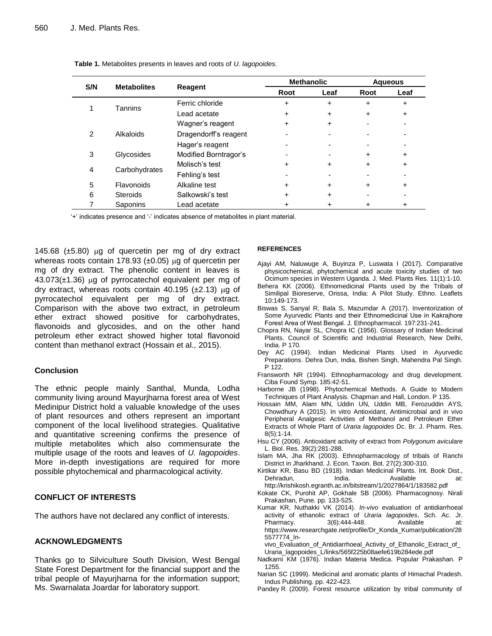| S/N | <b>Metabolites</b> | Reagent               | <b>Methanolic</b> |      | <b>Aqueous</b> |      |
|-----|--------------------|-----------------------|-------------------|------|----------------|------|
|     |                    |                       | Root              | Leaf | Root           | Leaf |
|     | Tannins            | Ferric chloride       | $\ddot{}$         | +    | +              | +    |
|     |                    | Lead acetate          | $\ddot{}$         | +    | +              | +    |
| 2   | Alkaloids          | Wagner's reagent      |                   | +    |                |      |
|     |                    | Dragendorff's reagent |                   |      |                |      |
|     |                    | Hager's reagent       |                   |      |                |      |
| 3   | Glycosides         | Modified Borntragor's |                   |      | +              | +    |
| 4   | Carbohydrates      | Molisch's test        |                   |      | +              | +    |
|     |                    | Fehling's test        |                   |      |                |      |
| 5   | Flavonoids         | Alkaline test         | +                 |      | +              | +    |
| 6   | <b>Steroids</b>    | Salkowski's test      |                   | +    |                |      |
|     | Saponins           | Lead acetate          |                   |      |                |      |

**Table 1.** Metabolites presents in leaves and roots of *U. lagopoides.*

'+' indicates presence and '-' indicates absence of metabolites in plant material.

145.68 ( $\pm$ 5.80) µg of quercetin per mg of dry extract whereas roots contain 178.93 ( $\pm$ 0.05) µg of quercetin per mg of dry extract. The phenolic content in leaves is  $43.073(\pm1.36)$  µg of pyrrocatechol equivalent per mg of dry extract, whereas roots contain 40.195 ( $\pm$ 2.13) µg of pyrrocatechol equivalent per mg of dry extract. Comparison with the above two extract, in petroleum ether extract showed positive for carbohydrates, flavonoids and glycosides, and on the other hand petroleum ether extract showed higher total flavonoid content than methanol extract (Hossain et al., 2015).

# **Conclusion**

The ethnic people mainly Santhal, Munda, Lodha community living around Mayurjharna forest area of West Medinipur District hold a valuable knowledge of the uses of plant resources and others represent an important component of the local livelihood strategies. Qualitative and quantitative screening confirms the presence of multiple metabolites which also commensurate the multiple usage of the roots and leaves of *U. lagopoides*. More in-depth investigations are required for more possible phytochemical and pharmacological activity.

# **CONFLICT OF INTERESTS**

The authors have not declared any conflict of interests.

# **ACKNOWLEDGMENTS**

Thanks go to Silviculture South Division, West Bengal State Forest Department for the financial support and the tribal people of Mayurjharna for the information support; Ms. Swarnalata Joardar for laboratory support.

#### **REFERENCES**

- Ajayi AM, Naluwuge A, Buyinza P, Luswata I (2017). Comparative physicochemical, phytochemical and acute toxicity studies of two Ocimum species in Western Uganda. J. Med. Plants Res. 11(1):1-10.
- Behera KK (2006). Ethnomedicinal Plants used by the Tribals of Similipal Bioreserve, Orissa, India: A Pilot Study. Ethno. Leaflets 10:149-173.
- Biswas S, Sanyal R, Bala S, Mazumdar A (2017). Inventorization of Some Ayurvedic Plants and their Ethnomedicinal Use in Kakrajhore Forest Area of West Bengal. J. Ethnopharmacol. 197:231-241.
- Chopra RN, Nayar SL, Chopra IC (1956). Glossary of Indian Medicinal Plants. Council of Scientific and Industrial Research, New Delhi, India. P 170.
- Dey AC (1994). Indian Medicinal Plants Used in Ayurvedic Preparations. Dehra Dun, India, Bishen Singh, Mahendra Pal Singh. P 122.
- Fransworth NR (1994). Ethnopharmacology and drug development. Ciba Found Symp. 185:42-51.
- Harborne JB (1998). Phytochemical Methods. A Guide to Modern Techniques of Plant Analysis. Chapman and Hall, London. P 135.
- Hossain MM, Alam MN, Uddin UN, Uddin MB, Ferozuddin AYS, Chowdhury A (2015). In vitro Antioxidant, Antimicrobial and in vivo Peripheral Analgesic Activities of Methanol and Petroleum Ether Extracts of Whole Plant of *Uraria lagopoides* Dc. Br. J. Pharm. Res. 8(5):1-14.
- Hsu CY (2006). Antioxidant activity of extract from *Polygonum aviculare* L. Biol. Res. 39(2):281-288.
- Islam MA, Jha RK (2003). Ethnopharmacology of tribals of Ranchi District in Jharkhand. J. Econ. Taxon. Bot. 27(2):300-310.
- Kirtikar KR, Basu BD (1918). Indian Medicinal Plants. Int. Book Dist., Dehradun, India. Available at: <http://krishikosh.egranth.ac.in/bitstream/1/2027864/1/183582.pdf>
- Kokate CK, Purohit AP, Gokhale SB (2006). Pharmacognosy. Nirali Prakashan, Pune. pp. 133-525.
- Kumar KR, Nuthakki VK (2014). *In-vivo* evaluation of antidiarrhoeal activity of ethanolic extract of *Uraria lagopoides*, Sch. Ac. Jr. Pharmacy. 3(6):444-448. Available at: [https://www.researchgate.net/profile/Dr\\_Konda\\_Kumar/publication/28](https://www.researchgate.net/profile/Dr_Konda_Kumar/publication/285577774_In-vivo_Evaluation_of_Antidiarrhoeal_Activity_of_Ethanolic_Extract_of_Uraria_lagopoides_L/links/565f225b08aefe619b284ede.pdf) [5577774\\_In-](https://www.researchgate.net/profile/Dr_Konda_Kumar/publication/285577774_In-vivo_Evaluation_of_Antidiarrhoeal_Activity_of_Ethanolic_Extract_of_Uraria_lagopoides_L/links/565f225b08aefe619b284ede.pdf)

[vivo\\_Evaluation\\_of\\_Antidiarrhoeal\\_Activity\\_of\\_Ethanolic\\_Extract\\_of\\_](https://www.researchgate.net/profile/Dr_Konda_Kumar/publication/285577774_In-vivo_Evaluation_of_Antidiarrhoeal_Activity_of_Ethanolic_Extract_of_Uraria_lagopoides_L/links/565f225b08aefe619b284ede.pdf) [Uraria\\_lagopoides\\_L/links/565f225b08aefe619b284ede.pdf](https://www.researchgate.net/profile/Dr_Konda_Kumar/publication/285577774_In-vivo_Evaluation_of_Antidiarrhoeal_Activity_of_Ethanolic_Extract_of_Uraria_lagopoides_L/links/565f225b08aefe619b284ede.pdf)

- Nadkarni KM (1976). Indian Materia Medica. Popular Prakashan. P 1255.
- Narian SC (1999). Medicinal and aromatic plants of Himachal Pradesh. Indus Publishing. pp. 422-423.
- Pandey R (2009). Forest resource utilization by tribal community of